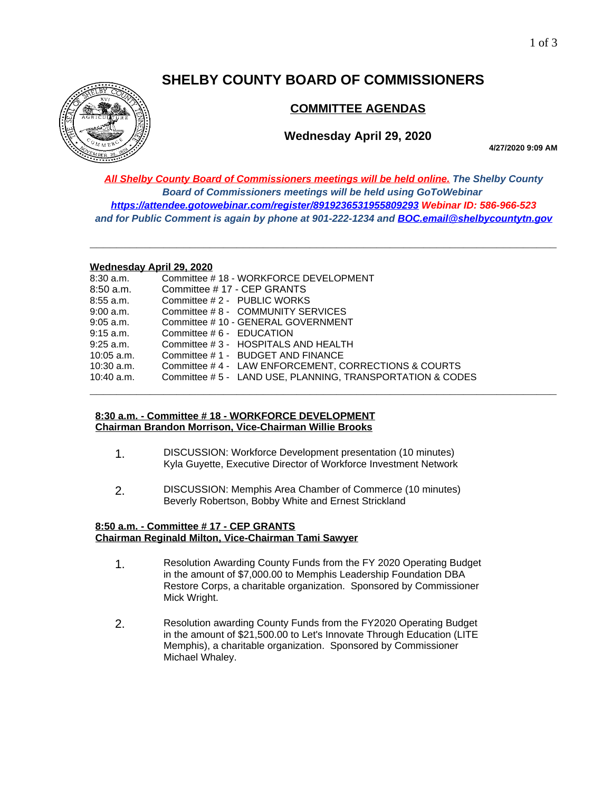# **SHELBY COUNTY BOARD OF COMMISSIONERS**



# **COMMITTEE AGENDAS**

## **Wednesday April 29, 2020**

**4/27/2020 9:09 AM**

*All Shelby County Board of Commissioners meetings will be held online. The Shelby County Board of Commissioners meetings will be held using GoToWebinar <https://attendee.gotowebinar.com/register/8919236531955809293> Webinar ID: 586-966-523 and for Public Comment is again by phone at 901-222-1234 and [BOC.email@shelbycountytn.gov](mailto:BOC.email@shelbycountytn.gov)*

**\_\_\_\_\_\_\_\_\_\_\_\_\_\_\_\_\_\_\_\_\_\_\_\_\_\_\_\_\_\_\_\_\_\_\_\_\_\_\_\_\_\_\_\_\_\_\_\_\_\_\_\_\_\_\_\_\_\_\_\_\_\_\_\_\_\_\_\_\_\_**

#### **Wednesday April 29, 2020**

| $8:30$ a.m.  | Committee #18 - WORKFORCE DEVELOPMENT                      |  |
|--------------|------------------------------------------------------------|--|
| $8:50$ a.m.  | Committee #17 - CEP GRANTS                                 |  |
| $8:55$ a.m.  | Committee #2 - PUBLIC WORKS                                |  |
| 9:00 a.m.    | Committee #8 - COMMUNITY SERVICES                          |  |
| $9:05$ a.m.  | Committee # 10 - GENERAL GOVERNMENT                        |  |
| $9:15$ a.m.  | Committee # 6 - EDUCATION                                  |  |
| $9:25$ a.m.  | Committee #3 - HOSPITALS AND HEALTH                        |  |
| $10:05$ a.m. | Committee #1 - BUDGET AND FINANCE                          |  |
| $10:30$ a.m. | Committee #4 - LAW ENFORCEMENT, CORRECTIONS & COURTS       |  |
| $10:40$ a.m. | Committee # 5 - LAND USE, PLANNING, TRANSPORTATION & CODES |  |
|              |                                                            |  |

## **8:30 a.m. - Committee # 18 - WORKFORCE DEVELOPMENT Chairman Brandon Morrison, Vice-Chairman Willie Brooks**

- 1. DISCUSSION: Workforce Development presentation (10 minutes) Kyla Guyette, Executive Director of Workforce Investment Network
- 2. DISCUSSION: Memphis Area Chamber of Commerce (10 minutes) Beverly Robertson, Bobby White and Ernest Strickland

## **8:50 a.m. - Committee # 17 - CEP GRANTS Chairman Reginald Milton, Vice-Chairman Tami Sawyer**

- 1. Resolution Awarding County Funds from the FY 2020 Operating Budget in the amount of \$7,000.00 to Memphis Leadership Foundation DBA Restore Corps, a charitable organization. Sponsored by Commissioner Mick Wright.
- 2. Resolution awarding County Funds from the FY2020 Operating Budget in the amount of \$21,500.00 to Let's Innovate Through Education (LITE Memphis), a charitable organization. Sponsored by Commissioner Michael Whaley.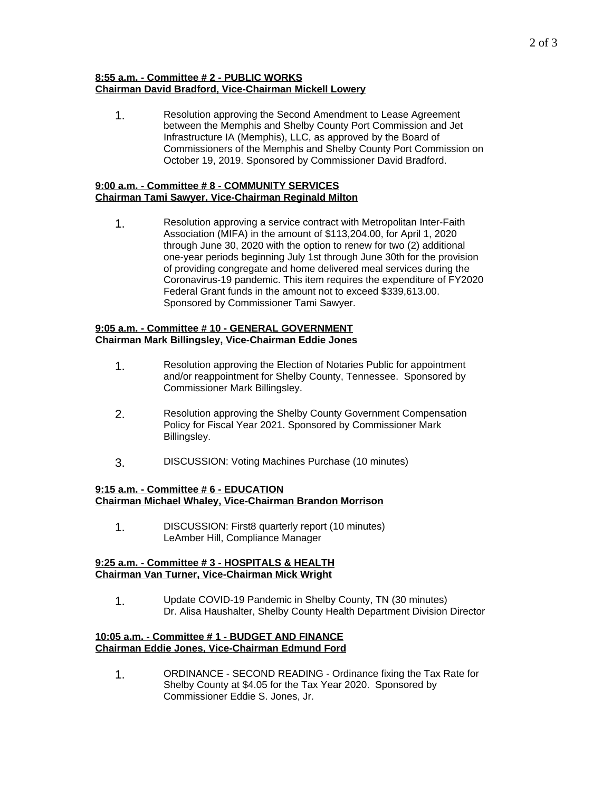## **8:55 a.m. - Committee # 2 - PUBLIC WORKS Chairman David Bradford, Vice-Chairman Mickell Lowery**

1. Resolution approving the Second Amendment to Lease Agreement between the Memphis and Shelby County Port Commission and Jet Infrastructure IA (Memphis), LLC, as approved by the Board of Commissioners of the Memphis and Shelby County Port Commission on October 19, 2019. Sponsored by Commissioner David Bradford.

## **9:00 a.m. - Committee # 8 - COMMUNITY SERVICES Chairman Tami Sawyer, Vice-Chairman Reginald Milton**

1. Resolution approving a service contract with Metropolitan Inter-Faith Association (MIFA) in the amount of \$113,204.00, for April 1, 2020 through June 30, 2020 with the option to renew for two (2) additional one-year periods beginning July 1st through June 30th for the provision of providing congregate and home delivered meal services during the Coronavirus-19 pandemic. This item requires the expenditure of FY2020 Federal Grant funds in the amount not to exceed \$339,613.00. Sponsored by Commissioner Tami Sawyer.

## **9:05 a.m. - Committee # 10 - GENERAL GOVERNMENT Chairman Mark Billingsley, Vice-Chairman Eddie Jones**

- 1. Resolution approving the Election of Notaries Public for appointment and/or reappointment for Shelby County, Tennessee. Sponsored by Commissioner Mark Billingsley.
- 2. Resolution approving the Shelby County Government Compensation Policy for Fiscal Year 2021. Sponsored by Commissioner Mark Billingsley.
- 3. DISCUSSION: Voting Machines Purchase (10 minutes)

#### **9:15 a.m. - Committee # 6 - EDUCATION Chairman Michael Whaley, Vice-Chairman Brandon Morrison**

1. DISCUSSION: First8 quarterly report (10 minutes) LeAmber Hill, Compliance Manager

## **9:25 a.m. - Committee # 3 - HOSPITALS & HEALTH Chairman Van Turner, Vice-Chairman Mick Wright**

1. Update COVID-19 Pandemic in Shelby County, TN (30 minutes) Dr. Alisa Haushalter, Shelby County Health Department Division Director

## **10:05 a.m. - Committee # 1 - BUDGET AND FINANCE Chairman Eddie Jones, Vice-Chairman Edmund Ford**

1. ORDINANCE - SECOND READING - Ordinance fixing the Tax Rate for Shelby County at \$4.05 for the Tax Year 2020. Sponsored by Commissioner Eddie S. Jones, Jr.